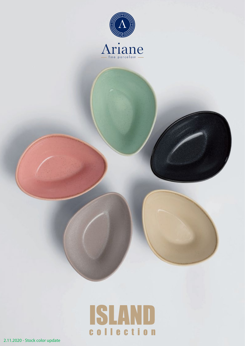

# ISLAND collection

2.11.2020 - Stock color update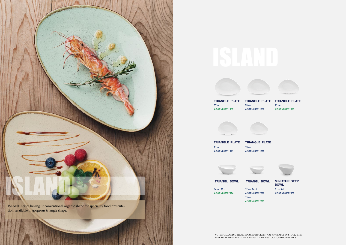



**TRIANGL BOWL TRIANGL BOWL**

## **TRIANGLE PLATE TRIANGLE PLATE TRIANGLE PLATE** 29 cm AISARN000011029

NOTE: FOLLOWING ITEMS MARKED IN GREEN ARE AVAILABLE IN STOCK. THE REST MARKED IN BLACK WILL BE AVAILABLE IN STOCK UNDER 10 WEEKS.









**TRIANGLE PLATE TRIANGLE PLATE** 21 cm

> **MINIATUR DEEP BOWL** 8 cm 3 cl AISARN000022008

37 cm AISARN000011037 33 cm AISARN000011033



AISARN000011021

15 cm AISARN000011015



14 cm 28 c AISARN000022014 12 cm 16 cl AISARN000022012 13 cm AISARN000022013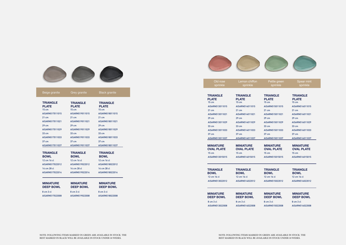| Old rose | Lemon chiffon |
|----------|---------------|
| sprinkle | sprinkle      |
|          |               |

**MINIATURE OVAL PLATE** 15 cm AISARN515015015

Pettle green sprinkle

Spear mint sprinkle



**MINIATURE DEEP BOWL**

### **MINIATURE DEEP BOWL**

**TRIANGLE BOWL**

**MINIATURE OVAL PLATE**



| Beige granite                                      | Grey granite                             | <b>Black granite</b>                     |
|----------------------------------------------------|------------------------------------------|------------------------------------------|
| <b>TRIANGLE</b><br><b>PLATE</b><br>$15 \text{ cm}$ | <b>TRIANGLE</b><br><b>PLATE</b><br>15 cm | <b>TRIANGLE</b><br><b>PLATE</b><br>15 cm |
| AISARN517011015                                    | AISARN519011015                          | AISARN518011015                          |
| $21 \text{ cm}$                                    | $21 \text{ cm}$                          | $21 \text{ cm}$                          |
| AISARN517011021                                    | AISARN519011021                          | AISARN518011021                          |
| $29 \text{ cm}$                                    | $29 \text{ cm}$                          | $29 \text{ cm}$                          |
| AISARN517011029                                    | AISARN519011029                          | AISARN518011029                          |
| 33 cm                                              | $33 \text{ cm}$                          | 33 cm                                    |
| AISARN517011033                                    | AISARN519011033                          | AISARN518011033                          |
| 37 cm                                              | 37 cm                                    | 37 cm                                    |
| AISARN517011037                                    | AISARN519011037                          | AISARN518011037                          |
| <b>TRIANGLE</b><br><b>BOWL</b>                     | <b>TRIANGLE</b><br><b>BOWL</b>           | <b>TRIANGLE</b><br><b>BOWL</b>           |
| 12 cm 16 cl                                        | 12 cm 16 cl                              | 12 cm 16 cl                              |
| AISARN517022012                                    | AISARN519022012                          | AISARN518022012                          |
| 14 cm 28 cl                                        | 14 cm 28 cl                              | 14 cm 28 cl                              |
| AISARN517022014                                    | AISARN519022014                          | AISARN518022014                          |
| <b>MINIATURE</b><br><b>DEEP BOWL</b>               | <b>MINIATURE</b><br><b>DEEP BOWL</b>     | <b>MINIATURE</b><br><b>DEEP BOWL</b>     |
| 8 cm 3 cl                                          | 8 cm 3 cl                                | 8 cm 3 cl                                |
| AISARN517022008                                    | AISARN519022008                          | AISARN518022008                          |



| <b>TRIANGLE</b>   | <b>TRIANGLE</b>   |
|-------------------|-------------------|
| <b>PLATE</b>      | <b>PLATE</b>      |
| $15 \text{ cm}$   | $15 \text{ cm}$   |
| AISARN513011015   | AISARN514011015   |
| $21 \text{ cm}$   | $21 \text{ cm}$   |
| AISARN513011021   | AISARN514011021   |
| $29 \text{ cm}$   | $29 \text{ cm}$   |
| AISARN513011029   | AISARN514011029   |
| $33 \text{ cm}$   | $33 \text{ cm}$   |
| AISARN513011033   | AISARN514011033   |
| $37 \text{ cm}$   | $37 \text{ cm}$   |
| AISARN513011037   | AISARN514011037   |
|                   |                   |
| <b>MINIATURE</b>  | <b>MINIATURE</b>  |
| <b>OVAL PLATE</b> | <b>OVAL PLATE</b> |
| $15 \text{ cm}$   | $15 \text{ cm}$   |

**TRIANGLE PLATE** 15 cm AISARN515011015 21 cm AISARN515011021 29 cm AISARN515011029 33 cm AISARN515011033 37 cm AISARN515011037

| <b>MINIATURE</b>                                                |
|-----------------------------------------------------------------|
| AISARN514022012                                                 |
| <b>TRIANGLE</b><br><b>BOWL</b><br>$12 \text{ cm} 16 \text{ cl}$ |
|                                                                 |

**TRIANGLE PLATE** 15 cm AISARN516011015 21 cm AISARN516011021 29 cm AISARN516011029 33 cm AISARN516011033 37 cm AISARN516011037

**TRIANGLE BOWL** 12 cm 16 cl AISARN515022012

AISARN513015015

AISARN514015015

15 cm AISARN516015015

12 cm 16 cl AISARN516022012

8 cm 3 cl AISARN513022008 8 cm 3 cl AISARN514022008

8 cm 3 cl AISARN515022008 8 cm 3 cl AISARN516022008